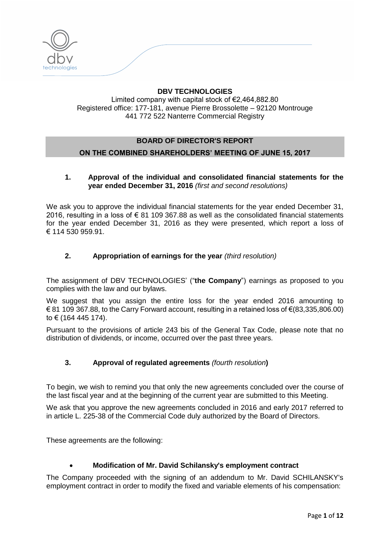

## **DBV TECHNOLOGIES** Limited company with capital stock of €2,464,882.80 Registered office: 177-181, avenue Pierre Brossolette – 92120 Montrouge 441 772 522 Nanterre Commercial Registry

# **BOARD OF DIRECTOR'S REPORT ON THE COMBINED SHAREHOLDERS' MEETING OF JUNE 15, 2017**

## **1. Approval of the individual and consolidated financial statements for the year ended December 31, 2016** *(first and second resolutions)*

We ask you to approve the individual financial statements for the year ended December 31, 2016, resulting in a loss of € 81 109 367.88 as well as the consolidated financial statements for the year ended December 31, 2016 as they were presented, which report a loss of € 114 530 959.91.

## **2. Appropriation of earnings for the year** *(third resolution)*

The assignment of DBV TECHNOLOGIES' ("**the Company**") earnings as proposed to you complies with the law and our bylaws.

We suggest that you assign the entire loss for the year ended 2016 amounting to  $€ 81 109 367.88$ , to the Carry Forward account, resulting in a retained loss of  $€(83,335,806.00)$ to € (164 445 174).

Pursuant to the provisions of article 243 bis of the General Tax Code, please note that no distribution of dividends, or income, occurred over the past three years.

## **3. Approval of regulated agreements** *(fourth resolution***)**

To begin, we wish to remind you that only the new agreements concluded over the course of the last fiscal year and at the beginning of the current year are submitted to this Meeting.

We ask that you approve the new agreements concluded in 2016 and early 2017 referred to in article L. 225-38 of the Commercial Code duly authorized by the Board of Directors.

These agreements are the following:

## **Modification of Mr. David Schilansky's employment contract**

The Company proceeded with the signing of an addendum to Mr. David SCHILANSKY's employment contract in order to modify the fixed and variable elements of his compensation: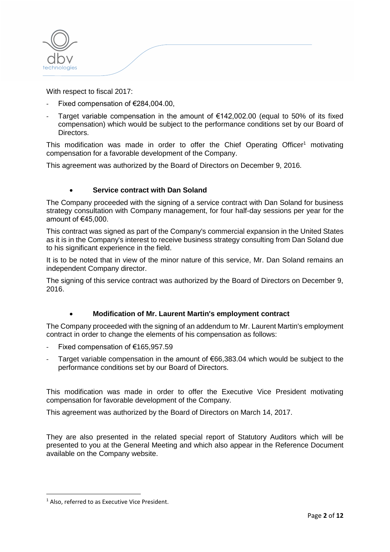

With respect to fiscal 2017:

- Fixed compensation of €284,004.00,
- Target variable compensation in the amount of  $\epsilon$ 142,002.00 (equal to 50% of its fixed compensation) which would be subject to the performance conditions set by our Board of Directors.

This modification was made in order to offer the Chief Operating Officer<sup>1</sup> motivating compensation for a favorable development of the Company.

This agreement was authorized by the Board of Directors on December 9, 2016.

## **Service contract with Dan Soland**

The Company proceeded with the signing of a service contract with Dan Soland for business strategy consultation with Company management, for four half-day sessions per year for the amount of €45,000.

This contract was signed as part of the Company's commercial expansion in the United States as it is in the Company's interest to receive business strategy consulting from Dan Soland due to his significant experience in the field.

It is to be noted that in view of the minor nature of this service, Mr. Dan Soland remains an independent Company director.

The signing of this service contract was authorized by the Board of Directors on December 9, 2016.

## **Modification of Mr. Laurent Martin's employment contract**

The Company proceeded with the signing of an addendum to Mr. Laurent Martin's employment contract in order to change the elements of his compensation as follows:

- Fixed compensation of €165,957.59
- Target variable compensation in the amount of  $€66,383.04$  which would be subject to the performance conditions set by our Board of Directors.

This modification was made in order to offer the Executive Vice President motivating compensation for favorable development of the Company.

This agreement was authorized by the Board of Directors on March 14, 2017.

They are also presented in the related special report of Statutory Auditors which will be presented to you at the General Meeting and which also appear in the Reference Document available on the Company website.

**.** 

<sup>&</sup>lt;sup>1</sup> Also, referred to as Executive Vice President.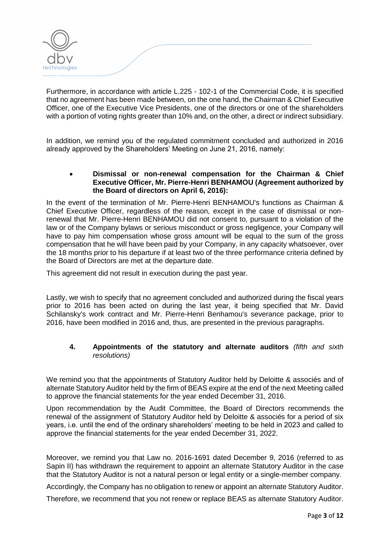Furthermore, in accordance with article L.225 - 102-1 of the Commercial Code, it is specified that no agreement has been made between, on the one hand, the Chairman & Chief Executive Officer, one of the Executive Vice Presidents, one of the directors or one of the shareholders with a portion of voting rights greater than 10% and, on the other, a direct or indirect subsidiary.

In addition, we remind you of the regulated commitment concluded and authorized in 2016 already approved by the Shareholders' Meeting on June 21, 2016, namely:

## **Dismissal or non-renewal compensation for the Chairman & Chief Executive Officer, Mr. Pierre-Henri BENHAMOU (Agreement authorized by the Board of directors on April 6, 2016):**

In the event of the termination of Mr. Pierre-Henri BENHAMOU's functions as Chairman & Chief Executive Officer, regardless of the reason, except in the case of dismissal or nonrenewal that Mr. Pierre-Henri BENHAMOU did not consent to, pursuant to a violation of the law or of the Company bylaws or serious misconduct or gross negligence, your Company will have to pay him compensation whose gross amount will be equal to the sum of the gross compensation that he will have been paid by your Company, in any capacity whatsoever, over the 18 months prior to his departure if at least two of the three performance criteria defined by the Board of Directors are met at the departure date.

This agreement did not result in execution during the past year.

Lastly, we wish to specify that no agreement concluded and authorized during the fiscal years prior to 2016 has been acted on during the last year, it being specified that Mr. David Schilansky's work contract and Mr. Pierre-Henri Benhamou's severance package, prior to 2016, have been modified in 2016 and, thus, are presented in the previous paragraphs.

## **4. Appointments of the statutory and alternate auditors** *(fifth and sixth resolutions)*

We remind you that the appointments of Statutory Auditor held by Deloitte & associés and of alternate Statutory Auditor held by the firm of BEAS expire at the end of the next Meeting called to approve the financial statements for the year ended December 31, 2016.

Upon recommendation by the Audit Committee, the Board of Directors recommends the renewal of the assignment of Statutory Auditor held by Deloitte & associés for a period of six years, i.e. until the end of the ordinary shareholders' meeting to be held in 2023 and called to approve the financial statements for the year ended December 31, 2022.

Moreover, we remind you that Law no. 2016-1691 dated December 9, 2016 (referred to as Sapin II) has withdrawn the requirement to appoint an alternate Statutory Auditor in the case that the Statutory Auditor is not a natural person or legal entity or a single-member company.

Accordingly, the Company has no obligation to renew or appoint an alternate Statutory Auditor.

Therefore, we recommend that you not renew or replace BEAS as alternate Statutory Auditor.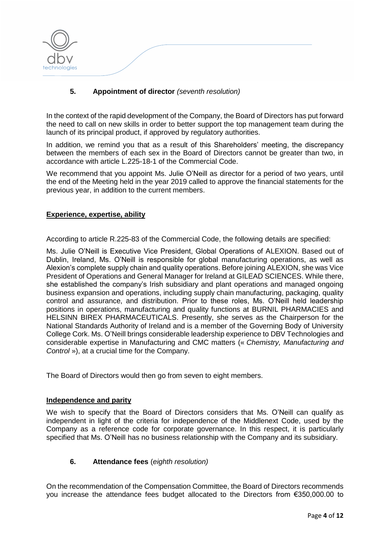

## **5. Appointment of director** *(seventh resolution)*

In the context of the rapid development of the Company, the Board of Directors has put forward the need to call on new skills in order to better support the top management team during the launch of its principal product, if approved by regulatory authorities.

In addition, we remind you that as a result of this Shareholders' meeting, the discrepancy between the members of each sex in the Board of Directors cannot be greater than two, in accordance with article L.225-18-1 of the Commercial Code.

We recommend that you appoint Ms. Julie O'Neill as director for a period of two years, until the end of the Meeting held in the year 2019 called to approve the financial statements for the previous year, in addition to the current members.

#### **Experience, expertise, ability**

According to article R.225-83 of the Commercial Code, the following details are specified:

Ms. Julie O'Neill is Executive Vice President, Global Operations of ALEXION. Based out of Dublin, Ireland, Ms. O'Neill is responsible for global manufacturing operations, as well as Alexion's complete supply chain and quality operations. Before joining ALEXION, she was Vice President of Operations and General Manager for Ireland at GILEAD SCIENCES. While there, she established the company's Irish subsidiary and plant operations and managed ongoing business expansion and operations, including supply chain manufacturing, packaging, quality control and assurance, and distribution. Prior to these roles, Ms. O'Neill held leadership positions in operations, manufacturing and quality functions at BURNIL PHARMACIES and HELSINN BIREX PHARMACEUTICALS. Presently, she serves as the Chairperson for the National Standards Authority of Ireland and is a member of the Governing Body of University College Cork. Ms. O'Neill brings considerable leadership experience to DBV Technologies and considerable expertise in Manufacturing and CMC matters (« *Chemistry, Manufacturing and Control* »), at a crucial time for the Company.

The Board of Directors would then go from seven to eight members.

#### **Independence and parity**

We wish to specify that the Board of Directors considers that Ms. O'Neill can qualify as independent in light of the criteria for independence of the Middlenext Code, used by the Company as a reference code for corporate governance. In this respect, it is particularly specified that Ms. O'Neill has no business relationship with the Company and its subsidiary.

## **6. Attendance fees** (*eighth resolution)*

On the recommendation of the Compensation Committee, the Board of Directors recommends you increase the attendance fees budget allocated to the Directors from €350,000.00 to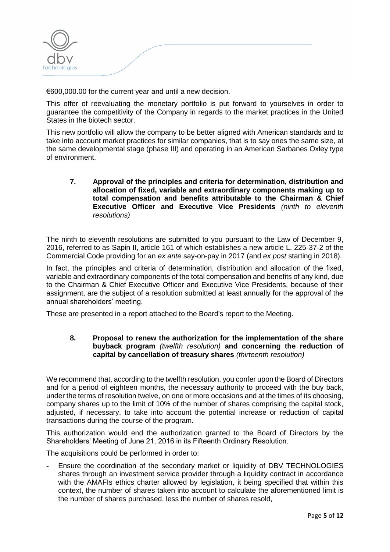

€600,000.00 for the current year and until a new decision.

This offer of reevaluating the monetary portfolio is put forward to yourselves in order to guarantee the competitivity of the Company in regards to the market practices in the United States in the biotech sector.

This new portfolio will allow the company to be better aligned with American standards and to take into account market practices for similar companies, that is to say ones the same size, at the same developmental stage (phase III) and operating in an American Sarbanes Oxley type of environment.

**7. Approval of the principles and criteria for determination, distribution and allocation of fixed, variable and extraordinary components making up to total compensation and benefits attributable to the Chairman & Chief Executive Officer and Executive Vice Presidents** *(ninth to eleventh resolutions)*

The ninth to eleventh resolutions are submitted to you pursuant to the Law of December 9, 2016, referred to as Sapin II, article 161 of which establishes a new article L. 225-37-2 of the Commercial Code providing for an *ex ante* say-on-pay in 2017 (and *ex post* starting in 2018).

In fact, the principles and criteria of determination, distribution and allocation of the fixed, variable and extraordinary components of the total compensation and benefits of any kind, due to the Chairman & Chief Executive Officer and Executive Vice Presidents, because of their assignment, are the subject of a resolution submitted at least annually for the approval of the annual shareholders' meeting.

These are presented in a report attached to the Board's report to the Meeting.

### **8. Proposal to renew the authorization for the implementation of the share buyback program** *(twelfth resolution)* **and concerning the reduction of capital by cancellation of treasury shares** *(thirteenth resolution)*

We recommend that, according to the twelfth resolution, you confer upon the Board of Directors and for a period of eighteen months, the necessary authority to proceed with the buy back, under the terms of resolution twelve, on one or more occasions and at the times of its choosing, company shares up to the limit of 10% of the number of shares comprising the capital stock, adjusted, if necessary, to take into account the potential increase or reduction of capital transactions during the course of the program.

This authorization would end the authorization granted to the Board of Directors by the Shareholders' Meeting of June 21, 2016 in its Fifteenth Ordinary Resolution.

The acquisitions could be performed in order to:

Ensure the coordination of the secondary market or liquidity of DBV TECHNOLOGIES shares through an investment service provider through a liquidity contract in accordance with the AMAFIs ethics charter allowed by legislation, it being specified that within this context, the number of shares taken into account to calculate the aforementioned limit is the number of shares purchased, less the number of shares resold,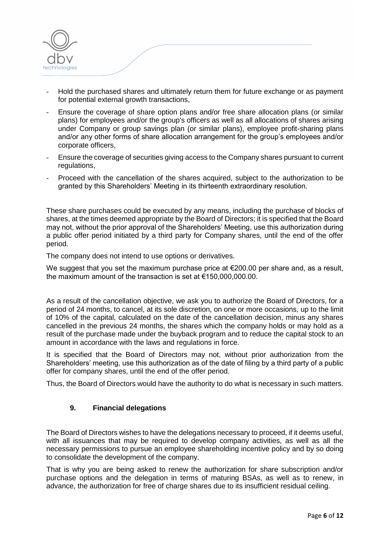

- Hold the purchased shares and ultimately return them for future exchange or as payment for potential external growth transactions,
- Ensure the coverage of share option plans and/or free share allocation plans (or similar plans) for employees and/or the group's officers as well as all allocations of shares arising under Company or group savings plan (or similar plans), employee profit-sharing plans and/or any other forms of share allocation arrangement for the group's employees and/or corporate officers,
- Ensure the coverage of securities giving access to the Company shares pursuant to current regulations,
- Proceed with the cancellation of the shares acquired, subject to the authorization to be granted by this Shareholders' Meeting in its thirteenth extraordinary resolution.

These share purchases could be executed by any means, including the purchase of blocks of shares, at the times deemed appropriate by the Board of Directors; it is specified that the Board may not, without the prior approval of the Shareholders' Meeting, use this authorization during a public offer period initiated by a third party for Company shares, until the end of the offer period.

The company does not intend to use options or derivatives.

We suggest that you set the maximum purchase price at  $€200.00$  per share and, as a result, the maximum amount of the transaction is set at €150,000,000.00.

As a result of the cancellation objective, we ask you to authorize the Board of Directors, for a period of 24 months, to cancel, at its sole discretion, on one or more occasions, up to the limit of 10% of the capital, calculated on the date of the cancellation decision, minus any shares cancelled in the previous 24 months, the shares which the company holds or may hold as a result of the purchase made under the buyback program and to reduce the capital stock to an amount in accordance with the laws and regulations in force.

It is specified that the Board of Directors may not, without prior authorization from the Shareholders' meeting, use this authorization as of the date of filing by a third party of a public offer for company shares, until the end of the offer period.

Thus, the Board of Directors would have the authority to do what is necessary in such matters.

## **9. Financial delegations**

The Board of Directors wishes to have the delegations necessary to proceed, if it deems useful, with all issuances that may be required to develop company activities, as well as all the necessary permissions to pursue an employee shareholding incentive policy and by so doing to consolidate the development of the company.

That is why you are being asked to renew the authorization for share subscription and/or purchase options and the delegation in terms of maturing BSAs, as well as to renew, in advance, the authorization for free of charge shares due to its insufficient residual ceiling.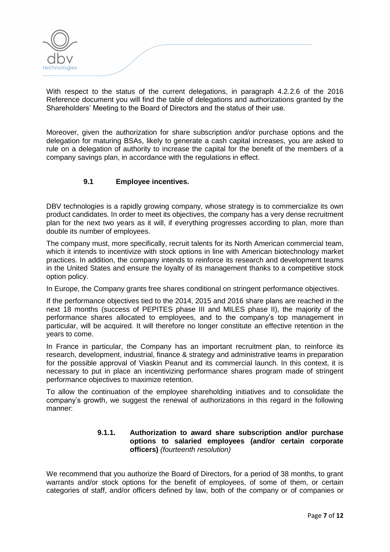

With respect to the status of the current delegations, in paragraph 4.2.2.6 of the 2016 Reference document you will find the table of delegations and authorizations granted by the Shareholders' Meeting to the Board of Directors and the status of their use.

Moreover, given the authorization for share subscription and/or purchase options and the delegation for maturing BSAs, likely to generate a cash capital increases, you are asked to rule on a delegation of authority to increase the capital for the benefit of the members of a company savings plan, in accordance with the regulations in effect.

## **9.1 Employee incentives.**

DBV technologies is a rapidly growing company, whose strategy is to commercialize its own product candidates. In order to meet its objectives, the company has a very dense recruitment plan for the next two years as it will, if everything progresses according to plan, more than double its number of employees.

The company must, more specifically, recruit talents for its North American commercial team, which it intends to incentivize with stock options in line with American biotechnology market practices. In addition, the company intends to reinforce its research and development teams in the United States and ensure the loyalty of its management thanks to a competitive stock option policy.

In Europe, the Company grants free shares conditional on stringent performance objectives.

If the performance objectives tied to the 2014, 2015 and 2016 share plans are reached in the next 18 months (success of PEPITES phase III and MILES phase II), the majority of the performance shares allocated to employees, and to the company's top management in particular, will be acquired. It will therefore no longer constitute an effective retention in the years to come.

In France in particular, the Company has an important recruitment plan, to reinforce its research, development, industrial, finance & strategy and administrative teams in preparation for the possible approval of Viaskin Peanut and its commercial launch. In this context, it is necessary to put in place an incentivizing performance shares program made of stringent performance objectives to maximize retention.

To allow the continuation of the employee shareholding initiatives and to consolidate the company's growth, we suggest the renewal of authorizations in this regard in the following manner:

### **9.1.1. Authorization to award share subscription and/or purchase options to salaried employees (and/or certain corporate officers)** *(fourteenth resolution)*

We recommend that you authorize the Board of Directors, for a period of 38 months, to grant warrants and/or stock options for the benefit of employees, of some of them, or certain categories of staff, and/or officers defined by law, both of the company or of companies or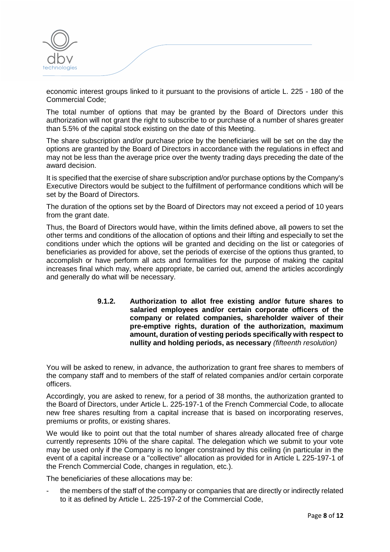

economic interest groups linked to it pursuant to the provisions of article L. 225 - 180 of the Commercial Code;

The total number of options that may be granted by the Board of Directors under this authorization will not grant the right to subscribe to or purchase of a number of shares greater than 5.5% of the capital stock existing on the date of this Meeting.

The share subscription and/or purchase price by the beneficiaries will be set on the day the options are granted by the Board of Directors in accordance with the regulations in effect and may not be less than the average price over the twenty trading days preceding the date of the award decision.

It is specified that the exercise of share subscription and/or purchase options by the Company's Executive Directors would be subject to the fulfillment of performance conditions which will be set by the Board of Directors.

The duration of the options set by the Board of Directors may not exceed a period of 10 years from the grant date.

Thus, the Board of Directors would have, within the limits defined above, all powers to set the other terms and conditions of the allocation of options and their lifting and especially to set the conditions under which the options will be granted and deciding on the list or categories of beneficiaries as provided for above, set the periods of exercise of the options thus granted, to accomplish or have perform all acts and formalities for the purpose of making the capital increases final which may, where appropriate, be carried out, amend the articles accordingly and generally do what will be necessary.

> **9.1.2. Authorization to allot free existing and/or future shares to salaried employees and/or certain corporate officers of the company or related companies, shareholder waiver of their pre-emptive rights, duration of the authorization, maximum amount, duration of vesting periods specifically with respect to nullity and holding periods, as necessary** *(fifteenth resolution)*

You will be asked to renew, in advance, the authorization to grant free shares to members of the company staff and to members of the staff of related companies and/or certain corporate officers.

Accordingly, you are asked to renew, for a period of 38 months, the authorization granted to the Board of Directors, under Article L. 225-197-1 of the French Commercial Code, to allocate new free shares resulting from a capital increase that is based on incorporating reserves, premiums or profits, or existing shares.

We would like to point out that the total number of shares already allocated free of charge currently represents 10% of the share capital. The delegation which we submit to your vote may be used only if the Company is no longer constrained by this ceiling (in particular in the event of a capital increase or a "collective" allocation as provided for in Article L 225-197-1 of the French Commercial Code, changes in regulation, etc.).

The beneficiaries of these allocations may be:

the members of the staff of the company or companies that are directly or indirectly related to it as defined by Article L. 225-197-2 of the Commercial Code,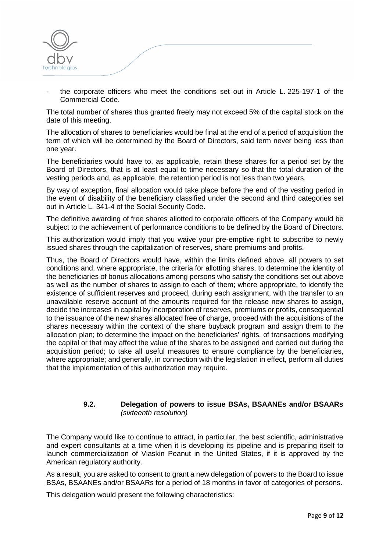

the corporate officers who meet the conditions set out in Article L. 225-197-1 of the Commercial Code.

The total number of shares thus granted freely may not exceed 5% of the capital stock on the date of this meeting.

The allocation of shares to beneficiaries would be final at the end of a period of acquisition the term of which will be determined by the Board of Directors, said term never being less than one year.

The beneficiaries would have to, as applicable, retain these shares for a period set by the Board of Directors, that is at least equal to time necessary so that the total duration of the vesting periods and, as applicable, the retention period is not less than two years.

By way of exception, final allocation would take place before the end of the vesting period in the event of disability of the beneficiary classified under the second and third categories set out in Article L. 341-4 of the Social Security Code.

The definitive awarding of free shares allotted to corporate officers of the Company would be subject to the achievement of performance conditions to be defined by the Board of Directors.

This authorization would imply that you waive your pre-emptive right to subscribe to newly issued shares through the capitalization of reserves, share premiums and profits.

Thus, the Board of Directors would have, within the limits defined above, all powers to set conditions and, where appropriate, the criteria for allotting shares, to determine the identity of the beneficiaries of bonus allocations among persons who satisfy the conditions set out above as well as the number of shares to assign to each of them; where appropriate, to identify the existence of sufficient reserves and proceed, during each assignment, with the transfer to an unavailable reserve account of the amounts required for the release new shares to assign, decide the increases in capital by incorporation of reserves, premiums or profits, consequential to the issuance of the new shares allocated free of charge, proceed with the acquisitions of the shares necessary within the context of the share buyback program and assign them to the allocation plan; to determine the impact on the beneficiaries' rights, of transactions modifying the capital or that may affect the value of the shares to be assigned and carried out during the acquisition period; to take all useful measures to ensure compliance by the beneficiaries, where appropriate; and generally, in connection with the legislation in effect, perform all duties that the implementation of this authorization may require.

#### **9.2. Delegation of powers to issue BSAs, BSAANEs and/or BSAARs**  *(sixteenth resolution)*

The Company would like to continue to attract, in particular, the best scientific, administrative and expert consultants at a time when it is developing its pipeline and is preparing itself to launch commercialization of Viaskin Peanut in the United States, if it is approved by the American regulatory authority.

As a result, you are asked to consent to grant a new delegation of powers to the Board to issue BSAs, BSAANEs and/or BSAARs for a period of 18 months in favor of categories of persons.

This delegation would present the following characteristics: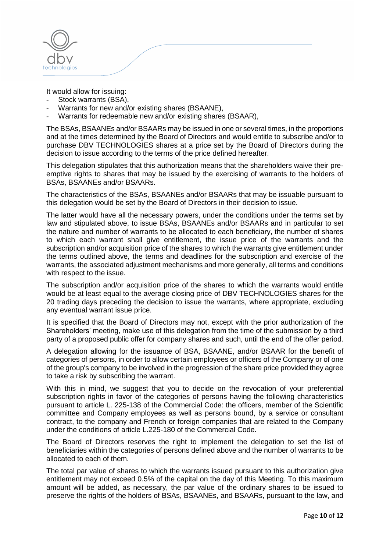

It would allow for issuing:

- Stock warrants (BSA).
- Warrants for new and/or existing shares (BSAANE),
- Warrants for redeemable new and/or existing shares (BSAAR),

The BSAs, BSAANEs and/or BSAARs may be issued in one or several times, in the proportions and at the times determined by the Board of Directors and would entitle to subscribe and/or to purchase DBV TECHNOLOGIES shares at a price set by the Board of Directors during the decision to issue according to the terms of the price defined hereafter.

This delegation stipulates that this authorization means that the shareholders waive their preemptive rights to shares that may be issued by the exercising of warrants to the holders of BSAs, BSAANEs and/or BSAARs.

The characteristics of the BSAs, BSAANEs and/or BSAARs that may be issuable pursuant to this delegation would be set by the Board of Directors in their decision to issue.

The latter would have all the necessary powers, under the conditions under the terms set by law and stipulated above, to issue BSAs, BSAANEs and/or BSAARs and in particular to set the nature and number of warrants to be allocated to each beneficiary, the number of shares to which each warrant shall give entitlement, the issue price of the warrants and the subscription and/or acquisition price of the shares to which the warrants give entitlement under the terms outlined above, the terms and deadlines for the subscription and exercise of the warrants, the associated adjustment mechanisms and more generally, all terms and conditions with respect to the issue.

The subscription and/or acquisition price of the shares to which the warrants would entitle would be at least equal to the average closing price of DBV TECHNOLOGIES shares for the 20 trading days preceding the decision to issue the warrants, where appropriate, excluding any eventual warrant issue price.

It is specified that the Board of Directors may not, except with the prior authorization of the Shareholders' meeting, make use of this delegation from the time of the submission by a third party of a proposed public offer for company shares and such, until the end of the offer period.

A delegation allowing for the issuance of BSA, BSAANE, and/or BSAAR for the benefit of categories of persons, in order to allow certain employees or officers of the Company or of one of the group's company to be involved in the progression of the share price provided they agree to take a risk by subscribing the warrant.

With this in mind, we suggest that you to decide on the revocation of your preferential subscription rights in favor of the categories of persons having the following characteristics pursuant to article L. 225-138 of the Commercial Code: the officers, member of the Scientific committee and Company employees as well as persons bound, by a service or consultant contract, to the company and French or foreign companies that are related to the Company under the conditions of article L.225-180 of the Commercial Code.

The Board of Directors reserves the right to implement the delegation to set the list of beneficiaries within the categories of persons defined above and the number of warrants to be allocated to each of them.

The total par value of shares to which the warrants issued pursuant to this authorization give entitlement may not exceed 0.5% of the capital on the day of this Meeting. To this maximum amount will be added, as necessary, the par value of the ordinary shares to be issued to preserve the rights of the holders of BSAs, BSAANEs, and BSAARs, pursuant to the law, and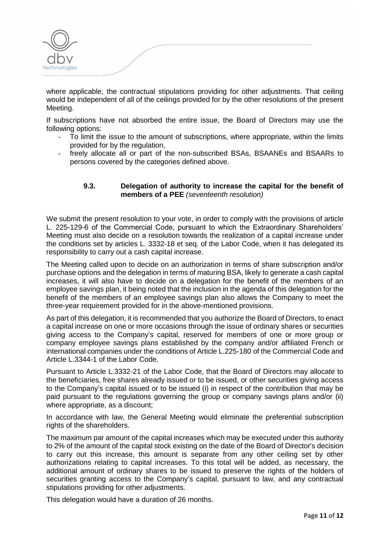where applicable, the contractual stipulations providing for other adjustments. That ceiling would be independent of all of the ceilings provided for by the other resolutions of the present Meeting.

If subscriptions have not absorbed the entire issue, the Board of Directors may use the following options:

- To limit the issue to the amount of subscriptions, where appropriate, within the limits provided for by the regulation,
- freely allocate all or part of the non-subscribed BSAs, BSAANEs and BSAARs to persons covered by the categories defined above.

## **9.3. Delegation of authority to increase the capital for the benefit of members of a PEE** *(seventeenth resolution)*

We submit the present resolution to your vote, in order to comply with the provisions of article L. 225-129-6 of the Commercial Code, pursuant to which the Extraordinary Shareholders' Meeting must also decide on a resolution towards the realization of a capital increase under the conditions set by articles L. 3332-18 et seq. of the Labor Code, when it has delegated its responsibility to carry out a cash capital increase.

The Meeting called upon to decide on an authorization in terms of share subscription and/or purchase options and the delegation in terms of maturing BSA, likely to generate a cash capital increases, it will also have to decide on a delegation for the benefit of the members of an employee savings plan, it being noted that the inclusion in the agenda of this delegation for the benefit of the members of an employee savings plan also allows the Company to meet the three-year requirement provided for in the above-mentioned provisions.

As part of this delegation, it is recommended that you authorize the Board of Directors, to enact a capital increase on one or more occasions through the issue of ordinary shares or securities giving access to the Company's capital, reserved for members of one or more group or company employee savings plans established by the company and/or affiliated French or international companies under the conditions of Article L.225-180 of the Commercial Code and Article L.3344-1 of the Labor Code.

Pursuant to Article L.3332-21 of the Labor Code, that the Board of Directors may allocate to the beneficiaries, free shares already issued or to be issued, or other securities giving access to the Company's capital issued or to be issued (i) in respect of the contribution that may be paid pursuant to the regulations governing the group or company savings plans and/or (ii) where appropriate, as a discount;

In accordance with law, the General Meeting would eliminate the preferential subscription rights of the shareholders.

The maximum par amount of the capital increases which may be executed under this authority to 2% of the amount of the capital stock existing on the date of the Board of Director's decision to carry out this increase, this amount is separate from any other ceiling set by other authorizations relating to capital increases. To this total will be added, as necessary, the additional amount of ordinary shares to be issued to preserve the rights of the holders of securities granting access to the Company's capital, pursuant to law, and any contractual stipulations providing for other adjustments.

This delegation would have a duration of 26 months.